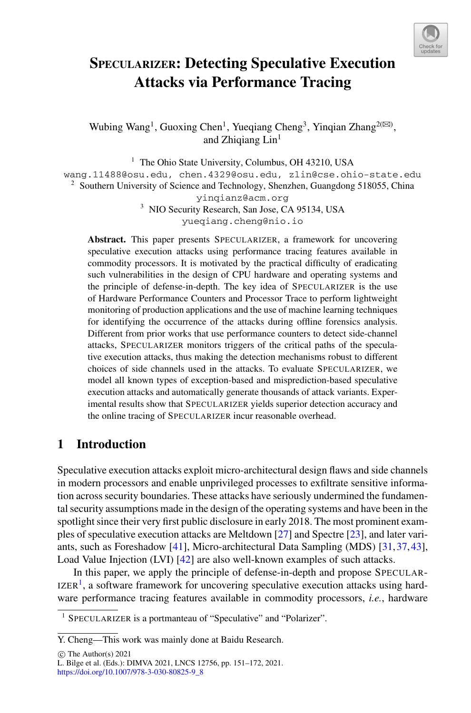

# **SPECULARIZER: Detecting Speculative Execution Attacks via Performance Tracing**

Wubing Wang<sup>1</sup>, Guoxing Chen<sup>1</sup>, Yueqiang Cheng<sup>3</sup>, Yinqian Zhang<sup>2( $\boxtimes$ )</sup>, and Zhiqiang Lin<sup>1</sup>

<sup>1</sup> The Ohio State University, Columbus, OH 43210, USA wang.11488@osu.edu, chen.4329@osu.edu, zlin@cse.ohio-state.edu <sup>2</sup> Southern University of Science and Technology, Shenzhen, Guangdong 518055, China yinqianz@acm.org <sup>3</sup> NIO Security Research, San Jose, CA 95134, USA yueqiang.cheng@nio.io

**Abstract.** This paper presents SPECULARIZER, a framework for uncovering speculative execution attacks using performance tracing features available in commodity processors. It is motivated by the practical difficulty of eradicating such vulnerabilities in the design of CPU hardware and operating systems and the principle of defense-in-depth. The key idea of SPECULARIZER is the use of Hardware Performance Counters and Processor Trace to perform lightweight monitoring of production applications and the use of machine learning techniques for identifying the occurrence of the attacks during offline forensics analysis. Different from prior works that use performance counters to detect side-channel attacks, SPECULARIZER monitors triggers of the critical paths of the speculative execution attacks, thus making the detection mechanisms robust to different choices of side channels used in the attacks. To evaluate SPECULARIZER, we model all known types of exception-based and misprediction-based speculative execution attacks and automatically generate thousands of attack variants. Experimental results show that SPECULARIZER yields superior detection accuracy and the online tracing of SPECULARIZER incur reasonable overhead.

# **1 Introduction**

Speculative execution attacks exploit micro-architectural design flaws and side channels in modern processors and enable unprivileged processes to exfiltrate sensitive information across security boundaries. These attacks have seriously undermined the fundamental security assumptions made in the design of the operating systems and have been in the spotlight since their very first public disclosure in early 2018. The most prominent examples of speculative execution attacks are Meltdown [\[27](#page-19-0)] and Spectre [\[23\]](#page-19-1), and later variants, such as Foreshadow [\[41](#page-20-0)], Micro-architectural Data Sampling (MDS) [\[31,](#page-19-2)[37](#page-20-1),[43\]](#page-20-2), Load Value Injection (LVI) [\[42](#page-20-3)] are also well-known examples of such attacks.

In this paper, we apply the principle of defense-in-depth and propose SPECULAR- $IZER<sup>1</sup>$ , a software framework for uncovering speculative execution attacks using hardware performance tracing features available in commodity processors, *i.e.*, hardware

<sup>&</sup>lt;sup>1</sup> SPECULARIZER is a portmanteau of "Speculative" and "Polarizer".

Y. Cheng—This work was mainly done at Baidu Research.

 $\circ$  The Author(s) 2021 L. Bilge et al. (Eds.): DIMVA 2021, LNCS 12756, pp. 151–172, 2021. [https://doi.org/10.1007/978-3-030-80825-9\\_8](https://doi.org/10.1007/978-3-030-80825-9_8)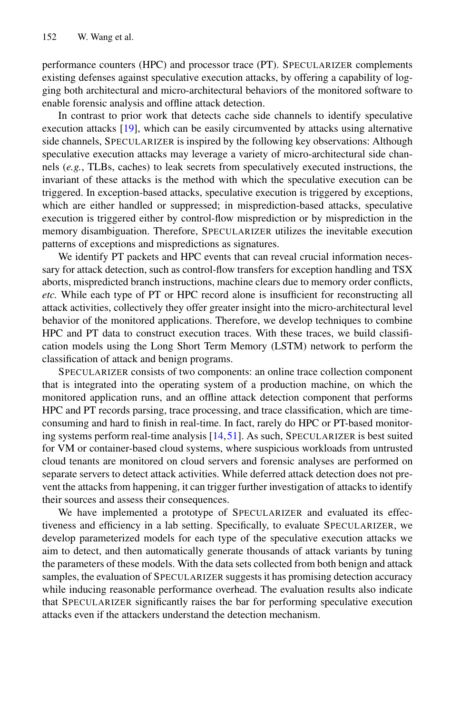performance counters (HPC) and processor trace (PT). SPECULARIZER complements existing defenses against speculative execution attacks, by offering a capability of logging both architectural and micro-architectural behaviors of the monitored software to enable forensic analysis and offline attack detection.

In contrast to prior work that detects cache side channels to identify speculative execution attacks [\[19](#page-19-3)], which can be easily circumvented by attacks using alternative side channels, SPECULARIZER is inspired by the following key observations: Although speculative execution attacks may leverage a variety of micro-architectural side channels (*e.g.*, TLBs, caches) to leak secrets from speculatively executed instructions, the invariant of these attacks is the method with which the speculative execution can be triggered. In exception-based attacks, speculative execution is triggered by exceptions, which are either handled or suppressed; in misprediction-based attacks, speculative execution is triggered either by control-flow misprediction or by misprediction in the memory disambiguation. Therefore, SPECULARIZER utilizes the inevitable execution patterns of exceptions and mispredictions as signatures.

We identify PT packets and HPC events that can reveal crucial information necessary for attack detection, such as control-flow transfers for exception handling and TSX aborts, mispredicted branch instructions, machine clears due to memory order conflicts, *etc.* While each type of PT or HPC record alone is insufficient for reconstructing all attack activities, collectively they offer greater insight into the micro-architectural level behavior of the monitored applications. Therefore, we develop techniques to combine HPC and PT data to construct execution traces. With these traces, we build classification models using the Long Short Term Memory (LSTM) network to perform the classification of attack and benign programs.

SPECULARIZER consists of two components: an online trace collection component that is integrated into the operating system of a production machine, on which the monitored application runs, and an offline attack detection component that performs HPC and PT records parsing, trace processing, and trace classification, which are timeconsuming and hard to finish in real-time. In fact, rarely do HPC or PT-based monitoring systems perform real-time analysis [\[14,](#page-19-4)[51\]](#page-20-4). As such, SPECULARIZER is best suited for VM or container-based cloud systems, where suspicious workloads from untrusted cloud tenants are monitored on cloud servers and forensic analyses are performed on separate servers to detect attack activities. While deferred attack detection does not prevent the attacks from happening, it can trigger further investigation of attacks to identify their sources and assess their consequences.

We have implemented a prototype of SPECULARIZER and evaluated its effectiveness and efficiency in a lab setting. Specifically, to evaluate SPECULARIZER, we develop parameterized models for each type of the speculative execution attacks we aim to detect, and then automatically generate thousands of attack variants by tuning the parameters of these models. With the data sets collected from both benign and attack samples, the evaluation of SPECULARIZER suggests it has promising detection accuracy while inducing reasonable performance overhead. The evaluation results also indicate that SPECULARIZER significantly raises the bar for performing speculative execution attacks even if the attackers understand the detection mechanism.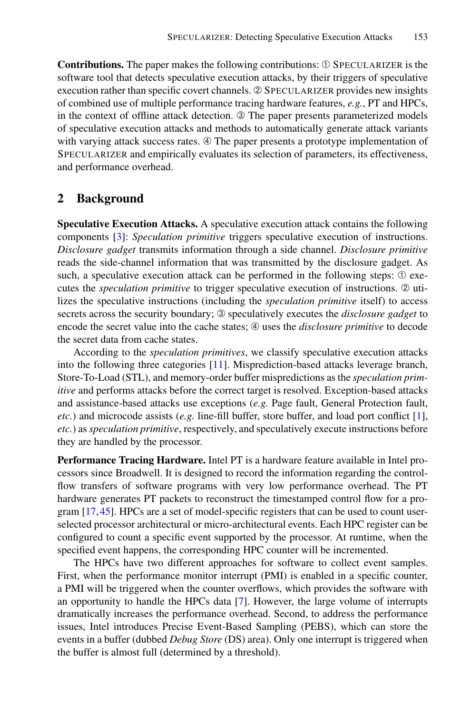**Contributions.** The paper makes the following contributions: ➀ SPECULARIZER is the software tool that detects speculative execution attacks, by their triggers of speculative execution rather than specific covert channels. ② SPECULARIZER provides new insights of combined use of multiple performance tracing hardware features, *e.g.*, PT and HPCs, in the context of offline attack detection. ➂ The paper presents parameterized models of speculative execution attacks and methods to automatically generate attack variants with varying attack success rates.  $\circledA$  The paper presents a prototype implementation of SPECULARIZER and empirically evaluates its selection of parameters, its effectiveness, and performance overhead.

### **2 Background**

**Speculative Execution Attacks.** A speculative execution attack contains the following components [\[3\]](#page-18-0): *Speculation primitive* triggers speculative execution of instructions. *Disclosure gadget* transmits information through a side channel. *Disclosure primitive* reads the side-channel information that was transmitted by the disclosure gadget. As such, a speculative execution attack can be performed in the following steps: ① executes the *speculation primitive* to trigger speculative execution of instructions. ➁ utilizes the speculative instructions (including the *speculation primitive* itself) to access secrets across the security boundary; ➂ speculatively executes the *disclosure gadget* to encode the secret value into the cache states;  $\Phi$  uses the *disclosure primitive* to decode the secret data from cache states.

According to the *speculation primitives*, we classify speculative execution attacks into the following three categories [\[11\]](#page-18-1). Misprediction-based attacks leverage branch, Store-To-Load (STL), and memory-order buffer mispredictions as the *speculation primitive* and performs attacks before the correct target is resolved. Exception-based attacks and assistance-based attacks use exceptions (*e.g.* Page fault, General Protection fault, *etc.*) and microcode assists (*e.g.* line-fill buffer, store buffer, and load port conflict [\[1\]](#page-18-2), *etc.*) as *speculation primitive*, respectively, and speculatively execute instructions before they are handled by the processor.

**Performance Tracing Hardware.** Intel PT is a hardware feature available in Intel processors since Broadwell. It is designed to record the information regarding the controlflow transfers of software programs with very low performance overhead. The PT hardware generates PT packets to reconstruct the timestamped control flow for a program [\[17,](#page-19-5)[45](#page-20-5)]. HPCs are a set of model-specific registers that can be used to count userselected processor architectural or micro-architectural events. Each HPC register can be configured to count a specific event supported by the processor. At runtime, when the specified event happens, the corresponding HPC counter will be incremented.

The HPCs have two different approaches for software to collect event samples. First, when the performance monitor interrupt (PMI) is enabled in a specific counter, a PMI will be triggered when the counter overflows, which provides the software with an opportunity to handle the HPCs data [\[7\]](#page-18-3). However, the large volume of interrupts dramatically increases the performance overhead. Second, to address the performance issues, Intel introduces Precise Event-Based Sampling (PEBS), which can store the events in a buffer (dubbed *Debug Store* (DS) area). Only one interrupt is triggered when the buffer is almost full (determined by a threshold).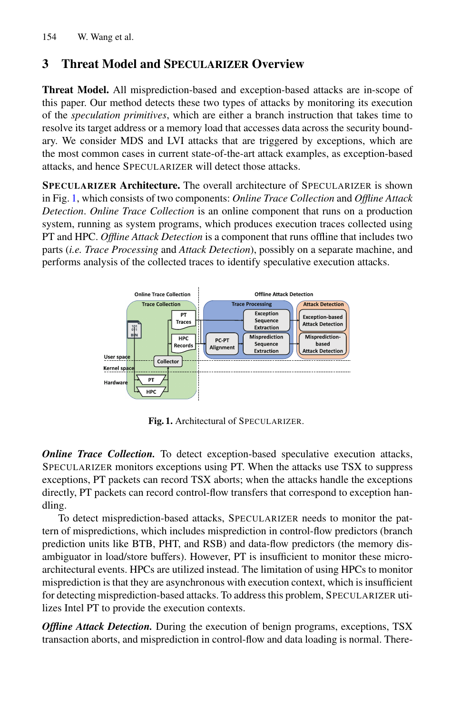# **3 Threat Model and SPECULARIZER Overview**

**Threat Model.** All misprediction-based and exception-based attacks are in-scope of this paper. Our method detects these two types of attacks by monitoring its execution of the *speculation primitives*, which are either a branch instruction that takes time to resolve its target address or a memory load that accesses data across the security boundary. We consider MDS and LVI attacks that are triggered by exceptions, which are the most common cases in current state-of-the-art attack examples, as exception-based attacks, and hence SPECULARIZER will detect those attacks.

**SPECULARIZER Architecture.** The overall architecture of SPECULARIZER is shown in Fig. [1,](#page-3-0) which consists of two components: *Online Trace Collection* and *Offline Attack Detection*. *Online Trace Collection* is an online component that runs on a production system, running as system programs, which produces execution traces collected using PT and HPC. *Offline Attack Detection* is a component that runs offline that includes two parts (*i.e. Trace Processing* and *Attack Detection*), possibly on a separate machine, and performs analysis of the collected traces to identify speculative execution attacks.



<span id="page-3-0"></span>**Fig. 1.** Architectural of SPECULARIZER.

*Online Trace Collection.* To detect exception-based speculative execution attacks, SPECULARIZER monitors exceptions using PT. When the attacks use TSX to suppress exceptions, PT packets can record TSX aborts; when the attacks handle the exceptions directly, PT packets can record control-flow transfers that correspond to exception handling.

To detect misprediction-based attacks, SPECULARIZER needs to monitor the pattern of mispredictions, which includes misprediction in control-flow predictors (branch prediction units like BTB, PHT, and RSB) and data-flow predictors (the memory disambiguator in load/store buffers). However, PT is insufficient to monitor these microarchitectural events. HPCs are utilized instead. The limitation of using HPCs to monitor misprediction is that they are asynchronous with execution context, which is insufficient for detecting misprediction-based attacks. To address this problem, SPECULARIZER utilizes Intel PT to provide the execution contexts.

*Offline Attack Detection.* During the execution of benign programs, exceptions, TSX transaction aborts, and misprediction in control-flow and data loading is normal. There-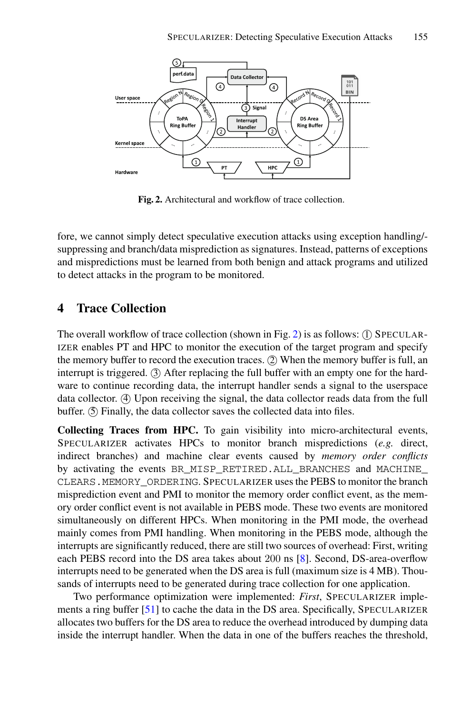

<span id="page-4-0"></span>**Fig. 2.** Architectural and workflow of trace collection.

fore, we cannot simply detect speculative execution attacks using exception handling/ suppressing and branch/data misprediction as signatures. Instead, patterns of exceptions and mispredictions must be learned from both benign and attack programs and utilized to detect attacks in the program to be monitored.

#### <span id="page-4-1"></span>**4 Trace Collection**

The overall workflow of trace collection (shown in Fig. [2\)](#page-4-0) is as follows:  $\bigcirc$  SPECULAR-IZER enables PT and HPC to monitor the execution of the target program and specify the memory buffer to record the execution traces.  $\circled{2}$  When the memory buffer is full, and interrupt is triggered.  $\circled{3}$  After replacing the full buffer with an empty one for the hardware to continue recording data, the interrupt handler sends a signal to the userspace data collector.  $\oplus$  Upon receiving the signal, the data collector reads data from the full buffer.  $\circled{S}$  Finally, the data collector saves the collected data into files.

**Collecting Traces from HPC.** To gain visibility into micro-architectural events, SPECULARIZER activates HPCs to monitor branch mispredictions (*e.g.* direct, indirect branches) and machine clear events caused by *memory order conflicts* by activating the events BR\_MISP\_RETIRED.ALL\_BRANCHES and MACHINE\_ CLEARS.MEMORY\_ORDERING. SPECULARIZER uses the PEBS to monitor the branch misprediction event and PMI to monitor the memory order conflict event, as the memory order conflict event is not available in PEBS mode. These two events are monitored simultaneously on different HPCs. When monitoring in the PMI mode, the overhead mainly comes from PMI handling. When monitoring in the PEBS mode, although the interrupts are significantly reduced, there are still two sources of overhead: First, writing each PEBS record into the DS area takes about 200 ns [\[8](#page-18-4)]. Second, DS-area-overflow interrupts need to be generated when the DS area is full (maximum size is 4 MB). Thousands of interrupts need to be generated during trace collection for one application.

Two performance optimization were implemented: *First*, SPECULARIZER implements a ring buffer [\[51](#page-20-4)] to cache the data in the DS area. Specifically, SPECULARIZER allocates two buffers for the DS area to reduce the overhead introduced by dumping data inside the interrupt handler. When the data in one of the buffers reaches the threshold,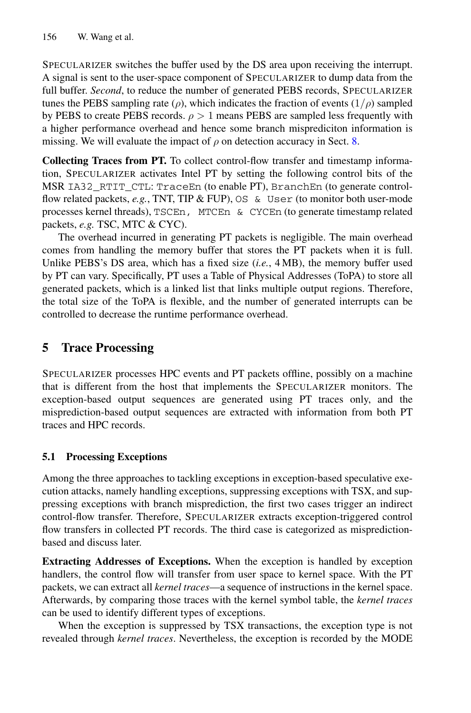SPECULARIZER switches the buffer used by the DS area upon receiving the interrupt. A signal is sent to the user-space component of SPECULARIZER to dump data from the full buffer. *Second*, to reduce the number of generated PEBS records, SPECULARIZER tunes the PEBS sampling rate ( $\rho$ ), which indicates the fraction of events ( $1/\rho$ ) sampled by PEBS to create PEBS records.  $\rho > 1$  means PEBS are sampled less frequently with a higher performance overhead and hence some branch misprediciton information is missing. We will evaluate the impact of  $\rho$  on detection accuracy in Sect. [8.](#page-11-0)

**Collecting Traces from PT.** To collect control-flow transfer and timestamp information, SPECULARIZER activates Intel PT by setting the following control bits of the MSR IA32 RTIT CTL: TraceEn (to enable PT), BranchEn (to generate controlflow related packets, *e.g.*, TNT, TIP & FUP), OS & User (to monitor both user-mode processes kernel threads), TSCEn, MTCEn & CYCEn (to generate timestamp related packets, *e.g.* TSC, MTC & CYC).

The overhead incurred in generating PT packets is negligible. The main overhead comes from handling the memory buffer that stores the PT packets when it is full. Unlike PEBS's DS area, which has a fixed size (*i.e.*, 4 MB), the memory buffer used by PT can vary. Specifically, PT uses a Table of Physical Addresses (ToPA) to store all generated packets, which is a linked list that links multiple output regions. Therefore, the total size of the ToPA is flexible, and the number of generated interrupts can be controlled to decrease the runtime performance overhead.

# **5 Trace Processing**

SPECULARIZER processes HPC events and PT packets offline, possibly on a machine that is different from the host that implements the SPECULARIZER monitors. The exception-based output sequences are generated using PT traces only, and the misprediction-based output sequences are extracted with information from both PT traces and HPC records.

## <span id="page-5-0"></span>**5.1 Processing Exceptions**

Among the three approaches to tackling exceptions in exception-based speculative execution attacks, namely handling exceptions, suppressing exceptions with TSX, and suppressing exceptions with branch misprediction, the first two cases trigger an indirect control-flow transfer. Therefore, SPECULARIZER extracts exception-triggered control flow transfers in collected PT records. The third case is categorized as mispredictionbased and discuss later.

**Extracting Addresses of Exceptions.** When the exception is handled by exception handlers, the control flow will transfer from user space to kernel space. With the PT packets, we can extract all *kernel traces*—a sequence of instructions in the kernel space. Afterwards, by comparing those traces with the kernel symbol table, the *kernel traces* can be used to identify different types of exceptions.

When the exception is suppressed by TSX transactions, the exception type is not revealed through *kernel traces*. Nevertheless, the exception is recorded by the MODE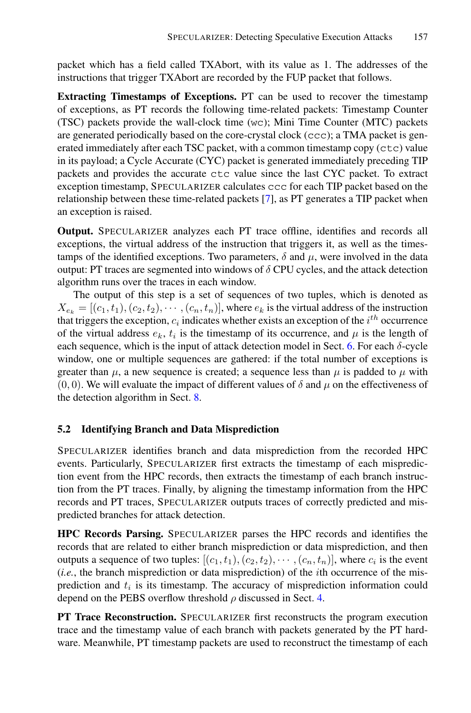packet which has a field called TXAbort, with its value as 1. The addresses of the instructions that trigger TXAbort are recorded by the FUP packet that follows.

**Extracting Timestamps of Exceptions.** PT can be used to recover the timestamp of exceptions, as PT records the following time-related packets: Timestamp Counter (TSC) packets provide the wall-clock time (wc); Mini Time Counter (MTC) packets are generated periodically based on the core-crystal clock (ccc); a TMA packet is generated immediately after each TSC packet, with a common timestamp copy (ctc) value in its payload; a Cycle Accurate (CYC) packet is generated immediately preceding TIP packets and provides the accurate ctc value since the last CYC packet. To extract exception timestamp, SPECULARIZER calculates ccc for each TIP packet based on the relationship between these time-related packets [\[7](#page-18-3)], as PT generates a TIP packet when an exception is raised.

**Output.** SPECULARIZER analyzes each PT trace offline, identifies and records all exceptions, the virtual address of the instruction that triggers it, as well as the timestamps of the identified exceptions. Two parameters,  $\delta$  and  $\mu$ , were involved in the data output: PT traces are segmented into windows of  $\delta$  CPU cycles, and the attack detection algorithm runs over the traces in each window.

The output of this step is a set of sequences of two tuples, which is denoted as  $X_{e_k} = [(c_1, t_1), (c_2, t_2), \cdots, (c_n, t_n)]$ , where  $e_k$  is the virtual address of the instruction that triggers the exception,  $c_i$  indicates whether exists an exception of the  $i^{th}$  occurrence of the virtual address  $e_k$ ,  $t_i$  is the timestamp of its occurrence, and  $\mu$  is the length of each sequence, which is the input of attack detection model in Sect. [6.](#page-7-0) For each  $\delta$ -cycle window, one or multiple sequences are gathered: if the total number of exceptions is greater than  $\mu$ , a new sequence is created; a sequence less than  $\mu$  is padded to  $\mu$  with  $(0, 0)$ . We will evaluate the impact of different values of  $\delta$  and  $\mu$  on the effectiveness of the detection algorithm in Sect. [8.](#page-11-0)

## **5.2 Identifying Branch and Data Misprediction**

SPECULARIZER identifies branch and data misprediction from the recorded HPC events. Particularly, SPECULARIZER first extracts the timestamp of each misprediction event from the HPC records, then extracts the timestamp of each branch instruction from the PT traces. Finally, by aligning the timestamp information from the HPC records and PT traces, SPECULARIZER outputs traces of correctly predicted and mispredicted branches for attack detection.

**HPC Records Parsing.** SPECULARIZER parses the HPC records and identifies the records that are related to either branch misprediction or data misprediction, and then outputs a sequence of two tuples:  $[(c_1, t_1), (c_2, t_2), \cdots, (c_n, t_n)]$ , where  $c_i$  is the event (*i.e.*, the branch misprediction or data misprediction) of the ith occurrence of the misprediction and t*<sup>i</sup>* is its timestamp. The accuracy of misprediction information could depend on the PEBS overflow threshold  $\rho$  discussed in Sect. [4.](#page-4-1)

**PT Trace Reconstruction.** SPECULARIZER first reconstructs the program execution trace and the timestamp value of each branch with packets generated by the PT hardware. Meanwhile, PT timestamp packets are used to reconstruct the timestamp of each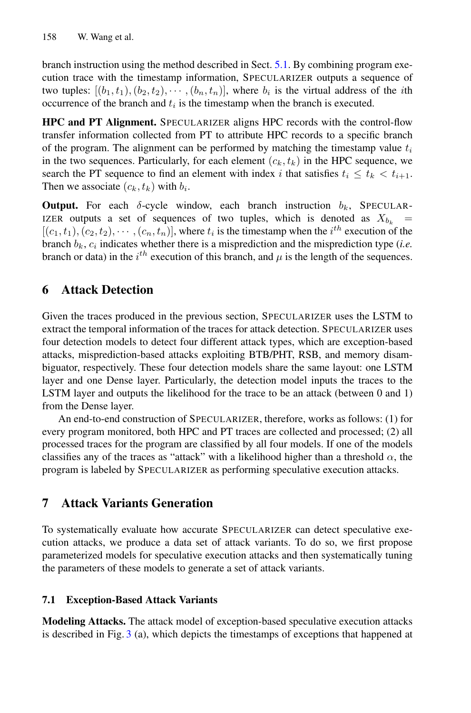branch instruction using the method described in Sect. [5.1.](#page-5-0) By combining program execution trace with the timestamp information, SPECULARIZER outputs a sequence of two tuples:  $[(b_1, t_1), (b_2, t_2), \cdots, (b_n, t_n)]$ , where  $b_i$  is the virtual address of the *i*th occurrence of the branch and  $t_i$  is the timestamp when the branch is executed.

**HPC and PT Alignment.** SPECULARIZER aligns HPC records with the control-flow transfer information collected from PT to attribute HPC records to a specific branch of the program. The alignment can be performed by matching the timestamp value  $t_i$ in the two sequences. Particularly, for each element  $(c_k, t_k)$  in the HPC sequence, we search the PT sequence to find an element with index i that satisfies  $t_i \leq t_k < t_{i+1}$ . Then we associate  $(c_k, t_k)$  with  $b_i$ .

**Output.** For each  $\delta$ -cycle window, each branch instruction  $b_k$ , SPECULAR-IZER outputs a set of sequences of two tuples, which is denoted as  $X_{b_k}$  =  $[(c_1, t_1), (c_2, t_2), \cdots, (c_n, t_n)]$ , where  $t_i$  is the timestamp when the  $i^{th}$  execution of the branch b*k*, c*<sup>i</sup>* indicates whether there is a misprediction and the misprediction type (*i.e.* branch or data) in the  $i^{th}$  execution of this branch, and  $\mu$  is the length of the sequences.

## <span id="page-7-0"></span>**6 Attack Detection**

Given the traces produced in the previous section, SPECULARIZER uses the LSTM to extract the temporal information of the traces for attack detection. SPECULARIZER uses four detection models to detect four different attack types, which are exception-based attacks, misprediction-based attacks exploiting BTB/PHT, RSB, and memory disambiguator, respectively. These four detection models share the same layout: one LSTM layer and one Dense layer. Particularly, the detection model inputs the traces to the LSTM layer and outputs the likelihood for the trace to be an attack (between 0 and 1) from the Dense layer.

An end-to-end construction of SPECULARIZER, therefore, works as follows: (1) for every program monitored, both HPC and PT traces are collected and processed; (2) all processed traces for the program are classified by all four models. If one of the models classifies any of the traces as "attack" with a likelihood higher than a threshold  $\alpha$ , the program is labeled by SPECULARIZER as performing speculative execution attacks.

# <span id="page-7-2"></span>**7 Attack Variants Generation**

To systematically evaluate how accurate SPECULARIZER can detect speculative execution attacks, we produce a data set of attack variants. To do so, we first propose parameterized models for speculative execution attacks and then systematically tuning the parameters of these models to generate a set of attack variants.

## <span id="page-7-1"></span>**7.1 Exception-Based Attack Variants**

**Modeling Attacks.** The attack model of exception-based speculative execution attacks is described in Fig. [3](#page-8-0) (a), which depicts the timestamps of exceptions that happened at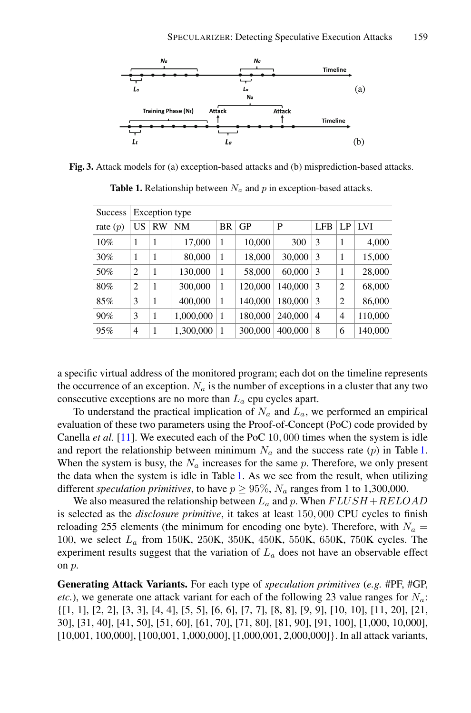

<span id="page-8-1"></span>**Fig. 3.** Attack models for (a) exception-based attacks and (b) misprediction-based attacks.

| <b>Success</b> | Exception type |    |           |    |         |         |                |                |         |  |  |  |
|----------------|----------------|----|-----------|----|---------|---------|----------------|----------------|---------|--|--|--|
| rate $(p)$     | US             | RW | <b>NM</b> | BR | GP      | P       | <b>LFB</b>     | LP             | LVI     |  |  |  |
| 10%            | 1              | 1  | 17,000    | 1  | 10,000  | 300     | 3              | 1              | 4,000   |  |  |  |
| 30%            | 1              | 1  | 80,000    | 1  | 18,000  | 30,000  | 3              | 1              | 15,000  |  |  |  |
| 50%            | $\overline{2}$ | 1  | 130,000   | 1  | 58,000  | 60,000  | 3              | 1              | 28,000  |  |  |  |
| 80%            | 2              | 1  | 300,000   | 1  | 120,000 | 140,000 | 3              | $\overline{2}$ | 68,000  |  |  |  |
| 85%            | 3              | 1  | 400,000   | 1  | 140,000 | 180,000 | 3              | 2              | 86,000  |  |  |  |
| 90%            | 3              | 1  | 1,000,000 | 1  | 180,000 | 240,000 | $\overline{4}$ | 4              | 110,000 |  |  |  |
| 95%            | $\overline{4}$ | 1  | 1,300,000 | 1  | 300,000 | 400,000 | 8              | 6              | 140,000 |  |  |  |

<span id="page-8-0"></span>**Table 1.** Relationship between  $N_a$  and p in exception-based attacks.

a specific virtual address of the monitored program; each dot on the timeline represents the occurrence of an exception.  $N_a$  is the number of exceptions in a cluster that any two consecutive exceptions are no more than L*<sup>a</sup>* cpu cycles apart.

To understand the practical implication of  $N_a$  and  $L_a$ , we performed an empirical evaluation of these two parameters using the Proof-of-Concept (PoC) code provided by Canella *et al.* [\[11](#page-18-1)]. We executed each of the PoC 10, 000 times when the system is idle and report the relationship between minimum  $N_a$  and the success rate  $(p)$  in Table [1.](#page-8-1) When the system is busy, the  $N_a$  increases for the same  $p$ . Therefore, we only present the data when the system is idle in Table [1.](#page-8-1) As we see from the result, when utilizing different *speculation primitives*, to have  $p \ge 95\%$ ,  $N_a$  ranges from 1 to 1,300,000.

We also measured the relationship between  $L_a$  and p. When  $FLUSH + REDAD$ is selected as the *disclosure primitive*, it takes at least 150, 000 CPU cycles to finish reloading 255 elements (the minimum for encoding one byte). Therefore, with  $N_a$  = 100, we select L*<sup>a</sup>* from 150K, 250K, 350K, 450K, 550K, 650K, 750K cycles. The experiment results suggest that the variation of  $L_a$  does not have an observable effect on p.

**Generating Attack Variants.** For each type of *speculation primitives* (*e.g.* #PF, #GP, *etc.*), we generate one attack variant for each of the following 23 value ranges for  $N_a$ : {[1, 1], [2, 2], [3, 3], [4, 4], [5, 5], [6, 6], [7, 7], [8, 8], [9, 9], [10, 10], [11, 20], [21, 30], [31, 40], [41, 50], [51, 60], [61, 70], [71, 80], [81, 90], [91, 100], [1,000, 10,000], [10,001, 100,000], [100,001, 1,000,000], [1,000,001, 2,000,000]}. In all attack variants,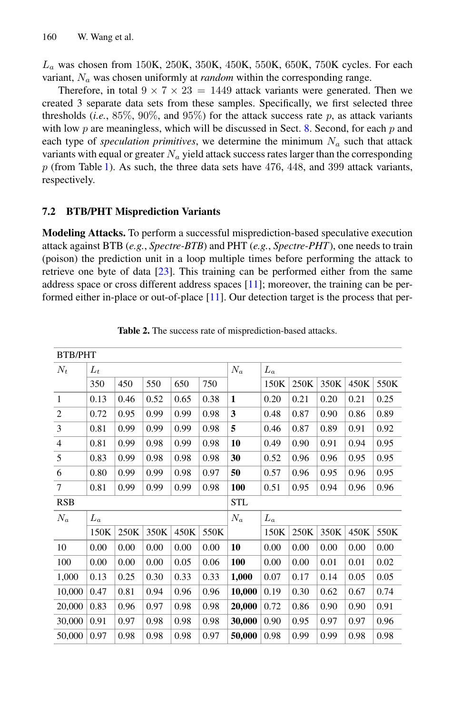$L_a$  was chosen from 150K, 250K, 350K, 450K, 550K, 650K, 750K cycles. For each variant, N*<sup>a</sup>* was chosen uniformly at *random* within the corresponding range.

Therefore, in total  $9 \times 7 \times 23 = 1449$  attack variants were generated. Then we created 3 separate data sets from these samples. Specifically, we first selected three thresholds (*i.e.*, 85\%, 90\%, and 95\%) for the attack success rate  $p$ , as attack variants with low  $p$  are meaningless, which will be discussed in Sect. [8.](#page-11-0) Second, for each  $p$  and each type of *speculation primitives*, we determine the minimum  $N_a$  such that attack variants with equal or greater  $N_a$  yield attack success rates larger than the corresponding  $p$  (from Table [1\)](#page-8-1). As such, the three data sets have  $476$ ,  $448$ , and  $399$  attack variants, respectively.

## **7.2 BTB/PHT Misprediction Variants**

**Modeling Attacks.** To perform a successful misprediction-based speculative execution attack against BTB (*e.g.*, *Spectre-BTB*) and PHT (*e.g.*, *Spectre-PHT*), one needs to train (poison) the prediction unit in a loop multiple times before performing the attack to retrieve one byte of data [\[23\]](#page-19-1). This training can be performed either from the same address space or cross different address spaces [\[11](#page-18-1)]; moreover, the training can be performed either in-place or out-of-place [\[11\]](#page-18-1). Our detection target is the process that per-

<span id="page-9-0"></span>

| <b>BTB/PHT</b> |       |      |      |      |            |              |       |      |      |      |      |  |
|----------------|-------|------|------|------|------------|--------------|-------|------|------|------|------|--|
| $N_t$          | $L_t$ |      |      |      |            | $N_a$        | $L_a$ |      |      |      |      |  |
|                | 350   | 450  | 550  | 650  | 750        |              | 150K  | 250K | 350K | 450K | 550K |  |
| $\mathbf{1}$   | 0.13  | 0.46 | 0.52 | 0.65 | 0.38       | $\mathbf{1}$ | 0.20  | 0.21 | 0.20 | 0.21 | 0.25 |  |
| $\overline{2}$ | 0.72  | 0.95 | 0.99 | 0.99 | 0.98       | 3            | 0.48  | 0.87 | 0.90 | 0.86 | 0.89 |  |
| 3              | 0.81  | 0.99 | 0.99 | 0.99 | 0.98       | 5            | 0.46  | 0.87 | 0.89 | 0.91 | 0.92 |  |
| $\overline{4}$ | 0.81  | 0.99 | 0.98 | 0.99 | 0.98       | 10           | 0.49  | 0.90 | 0.91 | 0.94 | 0.95 |  |
| 5              | 0.83  | 0.99 | 0.98 | 0.98 | 0.98       | 30           | 0.52  | 0.96 | 0.96 | 0.95 | 0.95 |  |
| 6              | 0.80  | 0.99 | 0.99 | 0.98 | 0.97       | 50           | 0.57  | 0.96 | 0.95 | 0.96 | 0.95 |  |
| 7              | 0.81  | 0.99 | 0.99 | 0.99 | 0.98       | 100          | 0.51  | 0.95 | 0.94 | 0.96 | 0.96 |  |
| <b>RSB</b>     |       |      |      |      | <b>STL</b> |              |       |      |      |      |      |  |
| $N_a$          | $L_a$ |      |      |      |            | $N_a$        | $L_a$ |      |      |      |      |  |
|                | 150K  | 250K | 350K | 450K | 550K       |              | 150K  | 250K | 350K | 450K | 550K |  |
| 10             | 0.00  | 0.00 | 0.00 | 0.00 | 0.00       | 10           | 0.00  | 0.00 | 0.00 | 0.00 | 0.00 |  |
| 100            | 0.00  | 0.00 | 0.00 | 0.05 | 0.06       | 100          | 0.00  | 0.00 | 0.01 | 0.01 | 0.02 |  |
| 1,000          | 0.13  | 0.25 | 0.30 | 0.33 | 0.33       | 1,000        | 0.07  | 0.17 | 0.14 | 0.05 | 0.05 |  |
| 10,000         | 0.47  | 0.81 | 0.94 | 0.96 | 0.96       | 10,000       | 0.19  | 0.30 | 0.62 | 0.67 | 0.74 |  |
| 20,000         | 0.83  | 0.96 | 0.97 | 0.98 | 0.98       | 20,000       | 0.72  | 0.86 | 0.90 | 0.90 | 0.91 |  |
| 30,000         | 0.91  | 0.97 | 0.98 | 0.98 | 0.98       | 30,000       | 0.90  | 0.95 | 0.97 | 0.97 | 0.96 |  |
| 50,000         | 0.97  | 0.98 | 0.98 | 0.98 | 0.97       | 50,000       | 0.98  | 0.99 | 0.99 | 0.98 | 0.98 |  |

**Table 2.** The success rate of misprediction-based attacks.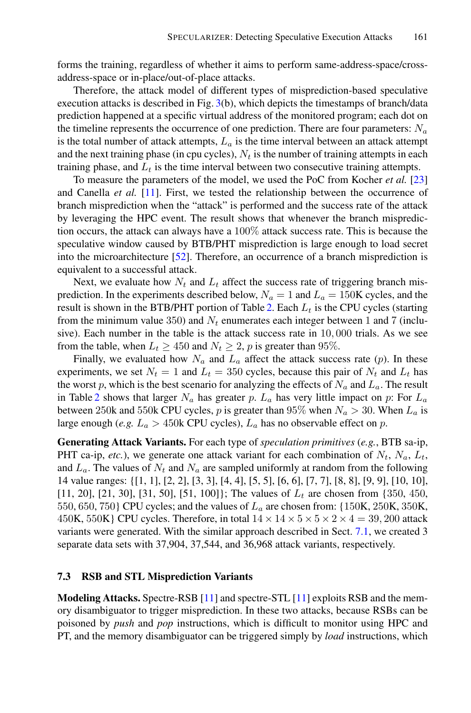forms the training, regardless of whether it aims to perform same-address-space/crossaddress-space or in-place/out-of-place attacks.

Therefore, the attack model of different types of misprediction-based speculative execution attacks is described in Fig. [3\(](#page-8-0)b), which depicts the timestamps of branch/data prediction happened at a specific virtual address of the monitored program; each dot on the timeline represents the occurrence of one prediction. There are four parameters:  $N_a$ is the total number of attack attempts,  $L_a$  is the time interval between an attack attempt and the next training phase (in cpu cycles),  $N_t$  is the number of training attempts in each training phase, and L*<sup>t</sup>* is the time interval between two consecutive training attempts.

To measure the parameters of the model, we used the PoC from Kocher *et al.* [\[23](#page-19-1)] and Canella *et al.* [\[11](#page-18-1)]. First, we tested the relationship between the occurrence of branch misprediction when the "attack" is performed and the success rate of the attack by leveraging the HPC event. The result shows that whenever the branch misprediction occurs, the attack can always have a 100% attack success rate. This is because the speculative window caused by BTB/PHT misprediction is large enough to load secret into the microarchitecture [\[52\]](#page-20-6). Therefore, an occurrence of a branch misprediction is equivalent to a successful attack.

Next, we evaluate how  $N_t$  and  $L_t$  affect the success rate of triggering branch misprediction. In the experiments described below,  $N_a = 1$  and  $L_a = 150$ K cycles, and the result is shown in the BTB/PHT portion of Table [2.](#page-9-0) Each L*<sup>t</sup>* is the CPU cycles (starting from the minimum value 350) and  $N_t$  enumerates each integer between 1 and 7 (inclusive). Each number in the table is the attack success rate in 10, 000 trials. As we see from the table, when  $L_t \ge 450$  and  $N_t \ge 2$ , p is greater than 95%.

Finally, we evaluated how  $N_a$  and  $L_a$  affect the attack success rate (p). In these experiments, we set  $N_t = 1$  and  $L_t = 350$  cycles, because this pair of  $N_t$  and  $L_t$  has the worst p, which is the best scenario for analyzing the effects of  $N_a$  and  $L_a$ . The result in Table [2](#page-9-0) shows that larger  $N_a$  has greater p.  $L_a$  has very little impact on p: For  $L_a$ between 250k and 550k CPU cycles, p is greater than 95% when  $N_a > 30$ . When  $L_a$  is large enough (*e.g.*  $L_a > 450k$  CPU cycles),  $L_a$  has no observable effect on p.

**Generating Attack Variants.** For each type of *speculation primitives* (*e.g.*, BTB sa-ip, PHT ca-ip, *etc.*), we generate one attack variant for each combination of  $N_t$ ,  $N_a$ ,  $L_t$ , and  $L_a$ . The values of  $N_t$  and  $N_a$  are sampled uniformly at random from the following 14 value ranges: {[1, 1], [2, 2], [3, 3], [4, 4], [5, 5], [6, 6], [7, 7], [8, 8], [9, 9], [10, 10], [11, 20], [21, 30], [31, 50], [51, 100]}; The values of L*<sup>t</sup>* are chosen from {350, 450, 550, 650, 750} CPU cycles; and the values of L*<sup>a</sup>* are chosen from: {150K, 250K, 350K, 450K, 550K} CPU cycles. Therefore, in total  $14 \times 14 \times 5 \times 5 \times 2 \times 4 = 39,200$  attack variants were generated. With the similar approach described in Sect. [7.1,](#page-7-1) we created 3 separate data sets with 37,904, 37,544, and 36,968 attack variants, respectively.

#### **7.3 RSB and STL Misprediction Variants**

**Modeling Attacks.** Spectre-RSB [\[11](#page-18-1)] and spectre-STL [\[11](#page-18-1)] exploits RSB and the memory disambiguator to trigger misprediction. In these two attacks, because RSBs can be poisoned by *push* and *pop* instructions, which is difficult to monitor using HPC and PT, and the memory disambiguator can be triggered simply by *load* instructions, which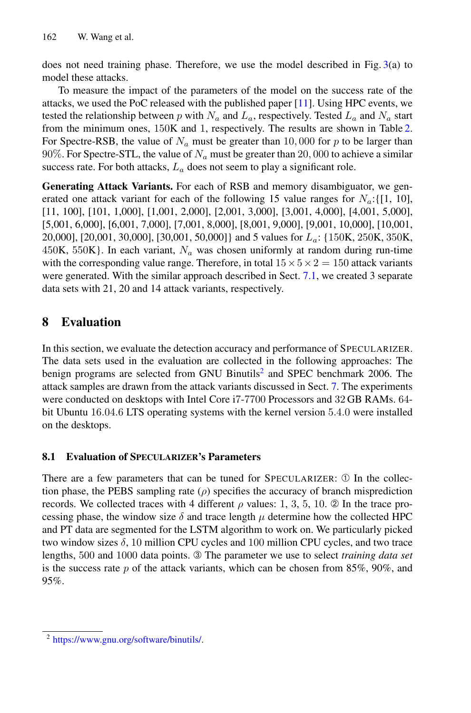does not need training phase. Therefore, we use the model described in Fig. [3\(](#page-8-0)a) to model these attacks.

To measure the impact of the parameters of the model on the success rate of the attacks, we used the PoC released with the published paper [\[11](#page-18-1)]. Using HPC events, we tested the relationship between p with  $N_a$  and  $L_a$ , respectively. Tested  $L_a$  and  $N_a$  start from the minimum ones, 150K and 1, respectively. The results are shown in Table [2.](#page-9-0) For Spectre-RSB, the value of  $N_a$  must be greater than 10,000 for p to be larger than 90%. For Spectre-STL, the value of  $N_a$  must be greater than 20,000 to achieve a similar success rate. For both attacks,  $L_a$  does not seem to play a significant role.

**Generating Attack Variants.** For each of RSB and memory disambiguator, we generated one attack variant for each of the following 15 value ranges for  $N_a$ :{[1, 10], [11, 100], [101, 1,000], [1,001, 2,000], [2,001, 3,000], [3,001, 4,000], [4,001, 5,000], [5,001, 6,000], [6,001, 7,000], [7,001, 8,000], [8,001, 9,000], [9,001, 10,000], [10,001, 20,000], [20,001, 30,000], [30,001, 50,000]} and 5 values for L*a*: {150K, 250K, 350K, 450K, 550K}. In each variant,  $N_a$  was chosen uniformly at random during run-time with the corresponding value range. Therefore, in total  $15 \times 5 \times 2 = 150$  attack variants were generated. With the similar approach described in Sect. [7.1,](#page-7-1) we created 3 separate data sets with 21, 20 and 14 attack variants, respectively.

# <span id="page-11-0"></span>**8 Evaluation**

In this section, we evaluate the detection accuracy and performance of SPECULARIZER. The data sets used in the evaluation are collected in the following approaches: The benign programs are selected from GNU Binutils<sup>2</sup> and SPEC benchmark 2006. The attack samples are drawn from the attack variants discussed in Sect. [7.](#page-7-2) The experiments were conducted on desktops with Intel Core i7-7700 Processors and 32 GB RAMs. 64 bit Ubuntu 16.04.6 LTS operating systems with the kernel version 5.4.0 were installed on the desktops.

## **8.1 Evaluation of SPECULARIZER's Parameters**

There are a few parameters that can be tuned for SPECULARIZER: ➀ In the collection phase, the PEBS sampling rate  $(\rho)$  specifies the accuracy of branch misprediction records. We collected traces with 4 different  $\rho$  values: 1, 3, 5, 10.  $\circledcirc$  In the trace processing phase, the window size  $\delta$  and trace length  $\mu$  determine how the collected HPC and PT data are segmented for the LSTM algorithm to work on. We particularly picked two window sizes  $\delta$ , 10 million CPU cycles and 100 million CPU cycles, and two trace lengths, 500 and 1000 data points. ➂ The parameter we use to select *training data set* is the success rate p of the attack variants, which can be chosen from  $85\%, 90\%,$  and 95%.

<span id="page-11-1"></span><sup>2</sup> [https://www.gnu.org/software/binutils/.](https://www.gnu.org/software/binutils/)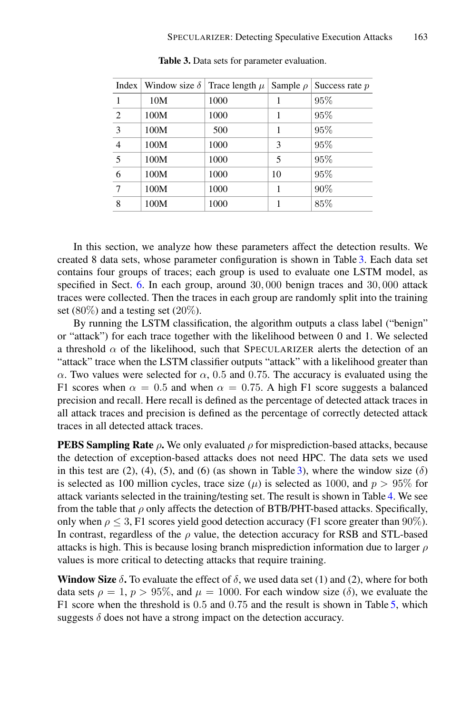<span id="page-12-0"></span>

|                | Index   Window size $\delta$   Trace length $\mu$   Sample $\rho$ |      |    | Success rate p |
|----------------|-------------------------------------------------------------------|------|----|----------------|
| 1              | 10M                                                               | 1000 |    | 95%            |
| 2              | 100M                                                              | 1000 |    | 95%            |
| $\overline{3}$ | 100M                                                              | 500  | 1  | 95%            |
| $\overline{4}$ | 100M                                                              | 1000 | 3  | 95%            |
| $\overline{5}$ | 100M                                                              | 1000 | 5  | 95%            |
| 6              | 100M                                                              | 1000 | 10 | 95%            |
|                | 100M                                                              | 1000 | 1  | 90%            |
| 8              | 100M                                                              | 1000 |    | 85%            |

**Table 3.** Data sets for parameter evaluation.

In this section, we analyze how these parameters affect the detection results. We created 8 data sets, whose parameter configuration is shown in Table [3.](#page-12-0) Each data set contains four groups of traces; each group is used to evaluate one LSTM model, as specified in Sect. [6.](#page-7-0) In each group, around 30, 000 benign traces and 30, 000 attack traces were collected. Then the traces in each group are randomly split into the training set  $(80\%)$  and a testing set  $(20\%).$ 

By running the LSTM classification, the algorithm outputs a class label ("benign" or "attack") for each trace together with the likelihood between 0 and 1. We selected a threshold  $\alpha$  of the likelihood, such that SPECULARIZER alerts the detection of an "attack" trace when the LSTM classifier outputs "attack" with a likelihood greater than α. Two values were selected for α, 0.5 and 0.75. The accuracy is evaluated using the F1 scores when  $\alpha = 0.5$  and when  $\alpha = 0.75$ . A high F1 score suggests a balanced precision and recall. Here recall is defined as the percentage of detected attack traces in all attack traces and precision is defined as the percentage of correctly detected attack traces in all detected attack traces.

**PEBS Sampling Rate**  $ρ$ . We only evaluated  $ρ$  for misprediction-based attacks, because the detection of exception-based attacks does not need HPC. The data sets we used in this test are (2), (4), (5), and (6) (as shown in Table [3\)](#page-12-0), where the window size  $(\delta)$ is selected as 100 million cycles, trace size  $(\mu)$  is selected as 1000, and  $p > 95\%$  for attack variants selected in the training/testing set. The result is shown in Table [4.](#page-13-0) We see from the table that  $\rho$  only affects the detection of BTB/PHT-based attacks. Specifically, only when  $\rho \leq 3$ , F1 scores yield good detection accuracy (F1 score greater than 90%). In contrast, regardless of the  $\rho$  value, the detection accuracy for RSB and STL-based attacks is high. This is because losing branch misprediction information due to larger  $\rho$ values is more critical to detecting attacks that require training.

**Window Size**  $\delta$ . To evaluate the effect of  $\delta$ , we used data set (1) and (2), where for both data sets  $\rho = 1$ ,  $p > 95\%$ , and  $\mu = 1000$ . For each window size ( $\delta$ ), we evaluate the F1 score when the threshold is 0.5 and 0.75 and the result is shown in Table [5,](#page-13-1) which suggests  $\delta$  does not have a strong impact on the detection accuracy.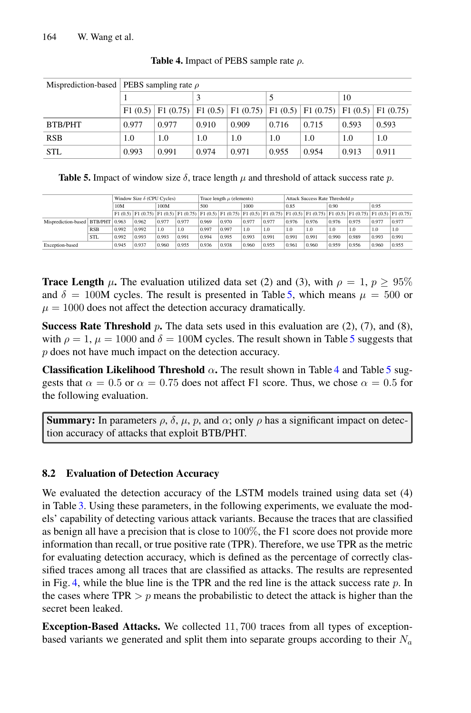<span id="page-13-0"></span>

|                | Misprediction-based   PEBS sampling rate $\rho$ |       |       |                                                                                           |       |       |       |       |
|----------------|-------------------------------------------------|-------|-------|-------------------------------------------------------------------------------------------|-------|-------|-------|-------|
|                |                                                 |       |       |                                                                                           |       |       | 10    |       |
|                |                                                 |       |       | F1 (0.5)   F1 (0.75)   F1 (0.5)   F1 (0.75)   F1 (0.5)   F1 (0.75)   F1 (0.5)   F1 (0.75) |       |       |       |       |
| <b>BTB/PHT</b> | 0.977                                           | 0.977 | 0.910 | 0.909                                                                                     | 0.716 | 0.715 | 0.593 | 0.593 |
| <b>RSB</b>     | 1.0                                             | 1.0   | 1.0   | 1.0                                                                                       | 1.0   | 1.0   | 1.0   | 1.0   |
| <b>STL</b>     | 0.993                                           | 0.991 | 0.974 | 0.971                                                                                     | 0.955 | 0.954 | 0.913 | 0.911 |

**Table 4.** Impact of PEBS sample rate ρ.

<span id="page-13-1"></span>

| <b>Table 5.</b> Impact of window size $\delta$ , trace length $\mu$ and threshold of attack success rate p. |  |  |  |
|-------------------------------------------------------------------------------------------------------------|--|--|--|
|-------------------------------------------------------------------------------------------------------------|--|--|--|

| Window Size $\delta$ (CPU Cycles)     |            |       |                                                                                                                                             |       |             | Trace length $\mu$ (elements) |       |       |       | Attack Success Rate Threshold p |       |       |       |       |       |
|---------------------------------------|------------|-------|---------------------------------------------------------------------------------------------------------------------------------------------|-------|-------------|-------------------------------|-------|-------|-------|---------------------------------|-------|-------|-------|-------|-------|
|                                       |            | 10M   | 100M                                                                                                                                        |       | 500<br>1000 |                               |       | 0.85  |       | 0.90                            |       | 0.95  |       |       |       |
|                                       |            |       | F1 (0.75) F1 (0.75) F1 (0.75) F1 (0.75) F1 (0.75) F1 (0.75) F1 (0.75) F1 (0.75) F1 (0.75) F1 (0.75) F1 (0.75) F1 (0.75) F1 (0.75) F1 (0.75) |       |             |                               |       |       |       |                                 |       |       |       |       |       |
| Misprediction-based   BTB/PHT   0.963 |            |       | 0.962                                                                                                                                       | 0.977 | 0.977       | 0.969                         | 0.970 | 0.977 | 0.977 | 0.976                           | 0.976 | 0.976 | 0.975 | 0.977 | 0.977 |
|                                       | <b>RSB</b> | 0.992 | 0.992                                                                                                                                       | 1.0   | 1.0         | 0.997                         | 0.997 | 1.0   | 1.0   | 1.0                             | 1.0   | 1.0   | 1.0   | 1.0   | 1.0   |
|                                       | <b>STL</b> | 0.992 | 0.993                                                                                                                                       | 0.993 | 0.991       | 0.994                         | 0.995 | 0.993 | 0.991 | 0.991                           | 0.991 | 0.990 | 0.989 | 0.993 | 0.991 |
| Exception-based                       |            | 0.945 | 0.937                                                                                                                                       | 0.960 | 0.955       | 0.936                         | 0.938 | 0.960 | 0.955 | 0.961                           | 0.960 | 0.959 | 0.956 | 0.960 | 0.955 |

**Trace Length**  $\mu$ . The evaluation utilized data set (2) and (3), with  $\rho = 1$ ,  $p > 95\%$ and  $\delta = 100$ M cycles. The result is presented in Table [5,](#page-13-1) which means  $\mu = 500$  or  $\mu = 1000$  does not affect the detection accuracy dramatically.

**Success Rate Threshold** p. The data sets used in this evaluation are (2), (7), and (8), with  $\rho = 1$ ,  $\mu = 1000$  and  $\delta = 100$ M cycles. The result shown in Table [5](#page-13-1) suggests that p does not have much impact on the detection accuracy.

**Classification Likelihood Threshold**  $\alpha$ . The result shown in Table [4](#page-13-0) and Table [5](#page-13-1) suggests that  $\alpha = 0.5$  or  $\alpha = 0.75$  does not affect F1 score. Thus, we chose  $\alpha = 0.5$  for the following evaluation.

**Summary:** In parameters  $\rho$ ,  $\delta$ ,  $\mu$ ,  $p$ , and  $\alpha$ ; only  $\rho$  has a significant impact on detection accuracy of attacks that exploit BTB/PHT.

## **8.2 Evaluation of Detection Accuracy**

We evaluated the detection accuracy of the LSTM models trained using data set (4) in Table [3.](#page-12-0) Using these parameters, in the following experiments, we evaluate the models' capability of detecting various attack variants. Because the traces that are classified as benign all have a precision that is close to 100%, the F1 score does not provide more information than recall, or true positive rate (TPR). Therefore, we use TPR as the metric for evaluating detection accuracy, which is defined as the percentage of correctly classified traces among all traces that are classified as attacks. The results are represented in Fig. [4,](#page-15-0) while the blue line is the TPR and the red line is the attack success rate  $p$ . In the cases where TPR  $> p$  means the probabilistic to detect the attack is higher than the secret been leaked.

**Exception-Based Attacks.** We collected 11, 700 traces from all types of exceptionbased variants we generated and split them into separate groups according to their N*<sup>a</sup>*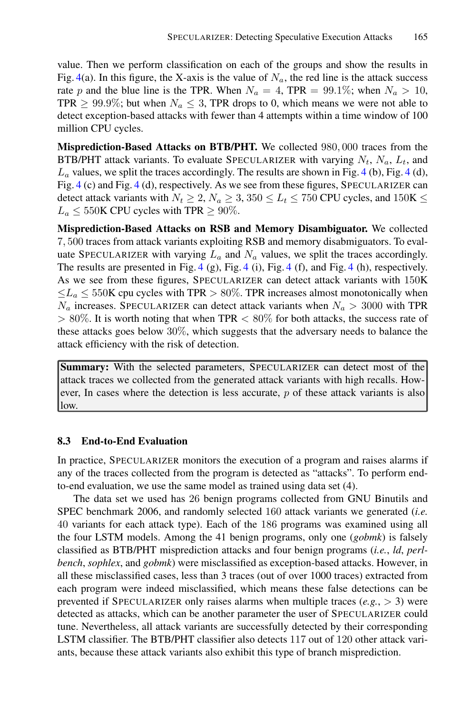value. Then we perform classification on each of the groups and show the results in Fig. [4\(](#page-15-0)a). In this figure, the X-axis is the value of  $N_a$ , the red line is the attack success rate p and the blue line is the TPR. When  $N_a = 4$ , TPR = 99.1%; when  $N_a > 10$ , TPR  $\geq 99.9\%$ ; but when  $N_a \leq 3$ , TPR drops to 0, which means we were not able to detect exception-based attacks with fewer than 4 attempts within a time window of 100 million CPU cycles.

**Misprediction-Based Attacks on BTB/PHT.** We collected 980, 000 traces from the BTB/PHT attack variants. To evaluate SPECULARIZER with varying  $N_t$ ,  $N_a$ ,  $L_t$ , and  $L_a$  values, we split the traces accordingly. The results are shown in Fig. [4](#page-15-0) (b), Fig. 4 (d), Fig. [4](#page-15-0) (c) and Fig. [4](#page-15-0) (d), respectively. As we see from these figures, SPECULARIZER can detect attack variants with  $N_t \geq 2$ ,  $N_a \geq 3$ ,  $350 \leq L_t \leq 750$  CPU cycles, and  $150$ K  $\leq$  $L_a \leq 550$ K CPU cycles with TPR  $\geq 90\%$ .

**Misprediction-Based Attacks on RSB and Memory Disambiguator.** We collected 7, 500 traces from attack variants exploiting RSB and memory disabmiguators. To evaluate SPECULARIZER with varying  $L_a$  and  $N_a$  values, we split the traces accordingly. The results are presented in Fig. [4](#page-15-0) (g), Fig. 4 (i), Fig. 4 (f), and Fig. 4 (h), respectively. As we see from these figures, SPECULARIZER can detect attack variants with 150K  $\leq L_a \leq 550$ K cpu cycles with TPR  $> 80\%$ . TPR increases almost monotonically when  $N_a$  increases. SPECULARIZER can detect attack variants when  $N_a > 3000$  with TPR  $> 80\%$ . It is worth noting that when TPR  $< 80\%$  for both attacks, the success rate of these attacks goes below 30%, which suggests that the adversary needs to balance the attack efficiency with the risk of detection.

**Summary:** With the selected parameters, SPECULARIZER can detect most of the attack traces we collected from the generated attack variants with high recalls. However, In cases where the detection is less accurate,  $p$  of these attack variants is also low.

#### **8.3 End-to-End Evaluation**

In practice, SPECULARIZER monitors the execution of a program and raises alarms if any of the traces collected from the program is detected as "attacks". To perform endto-end evaluation, we use the same model as trained using data set (4).

The data set we used has 26 benign programs collected from GNU Binutils and SPEC benchmark 2006, and randomly selected 160 attack variants we generated (*i.e.* 40 variants for each attack type). Each of the 186 programs was examined using all the four LSTM models. Among the 41 benign programs, only one (*gobmk*) is falsely classified as BTB/PHT misprediction attacks and four benign programs (*i.e.*, *ld*, *perlbench*, *sophlex*, and *gobmk*) were misclassified as exception-based attacks. However, in all these misclassified cases, less than 3 traces (out of over 1000 traces) extracted from each program were indeed misclassified, which means these false detections can be prevented if SPECULARIZER only raises alarms when multiple traces  $(e.g., > 3)$  were detected as attacks, which can be another parameter the user of SPECULARIZER could tune. Nevertheless, all attack variants are successfully detected by their corresponding LSTM classifier. The BTB/PHT classifier also detects 117 out of 120 other attack variants, because these attack variants also exhibit this type of branch misprediction.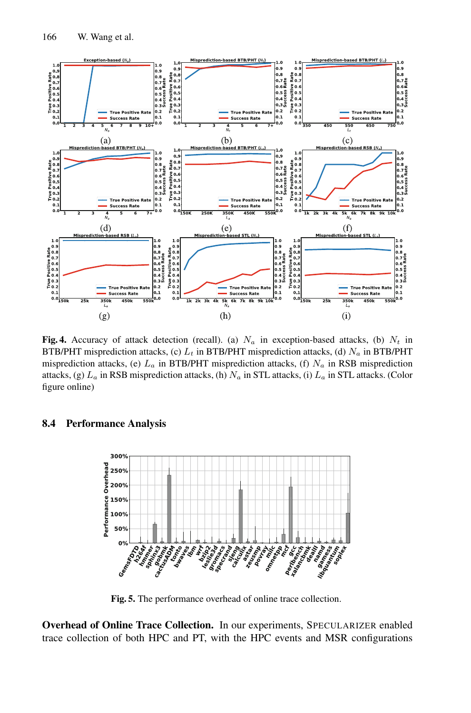

**Fig. 4.** Accuracy of attack detection (recall). (a)  $N_a$  in exception-based attacks, (b)  $N_t$  in BTB/PHT misprediction attacks, (c) L*<sup>t</sup>* in BTB/PHT misprediction attacks, (d) N*<sup>a</sup>* in BTB/PHT misprediction attacks, (e) L*<sup>a</sup>* in BTB/PHT misprediction attacks, (f) N*<sup>a</sup>* in RSB misprediction attacks, (g) L*<sup>a</sup>* in RSB misprediction attacks, (h) N*<sup>a</sup>* in STL attacks, (i) L*<sup>a</sup>* in STL attacks. (Color figure online)

#### **8.4 Performance Analysis**

<span id="page-15-0"></span>

<span id="page-15-1"></span>**Fig. 5.** The performance overhead of online trace collection.

**Overhead of Online Trace Collection.** In our experiments, SPECULARIZER enabled trace collection of both HPC and PT, with the HPC events and MSR configurations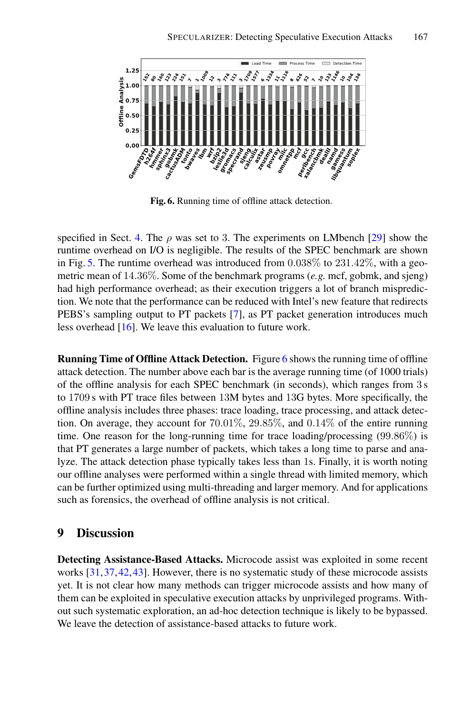

<span id="page-16-0"></span>**Fig. 6.** Running time of offline attack detection.

specified in Sect. [4.](#page-4-1) The  $\rho$  was set to 3. The experiments on LMbench [\[29\]](#page-19-6) show the runtime overhead on I/O is negligible. The results of the SPEC benchmark are shown in Fig. [5.](#page-15-1) The runtime overhead was introduced from 0.038% to 231.42%, with a geometric mean of 14.36%. Some of the benchmark programs (*e.g.* mcf, gobmk, and sjeng) had high performance overhead; as their execution triggers a lot of branch misprediction. We note that the performance can be reduced with Intel's new feature that redirects PEBS's sampling output to PT packets [\[7\]](#page-18-3), as PT packet generation introduces much less overhead [\[16\]](#page-19-7). We leave this evaluation to future work.

**Running Time of Offline Attack Detection.** Figure [6](#page-16-0) shows the running time of offline attack detection. The number above each bar is the average running time (of 1000 trials) of the offline analysis for each SPEC benchmark (in seconds), which ranges from 3 s to 1709 s with PT trace files between 13M bytes and 13G bytes. More specifically, the offline analysis includes three phases: trace loading, trace processing, and attack detection. On average, they account for 70.01%, 29.85%, and 0.14% of the entire running time. One reason for the long-running time for trace loading/processing (99.86%) is that PT generates a large number of packets, which takes a long time to parse and analyze. The attack detection phase typically takes less than 1s. Finally, it is worth noting our offline analyses were performed within a single thread with limited memory, which can be further optimized using multi-threading and larger memory. And for applications such as forensics, the overhead of offline analysis is not critical.

## **9 Discussion**

**Detecting Assistance-Based Attacks.** Microcode assist was exploited in some recent works [\[31,](#page-19-2)[37](#page-20-1),[42,](#page-20-3)[43\]](#page-20-2). However, there is no systematic study of these microcode assists yet. It is not clear how many methods can trigger microcode assists and how many of them can be exploited in speculative execution attacks by unprivileged programs. Without such systematic exploration, an ad-hoc detection technique is likely to be bypassed. We leave the detection of assistance-based attacks to future work.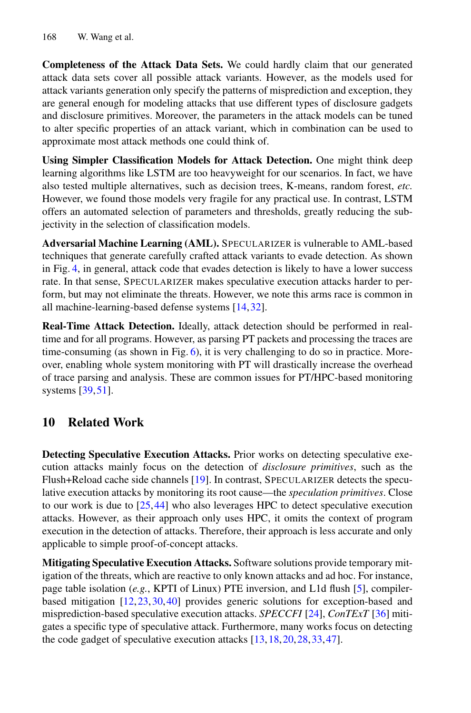**Completeness of the Attack Data Sets.** We could hardly claim that our generated attack data sets cover all possible attack variants. However, as the models used for attack variants generation only specify the patterns of misprediction and exception, they are general enough for modeling attacks that use different types of disclosure gadgets and disclosure primitives. Moreover, the parameters in the attack models can be tuned to alter specific properties of an attack variant, which in combination can be used to approximate most attack methods one could think of.

**Using Simpler Classification Models for Attack Detection.** One might think deep learning algorithms like LSTM are too heavyweight for our scenarios. In fact, we have also tested multiple alternatives, such as decision trees, K-means, random forest, *etc.* However, we found those models very fragile for any practical use. In contrast, LSTM offers an automated selection of parameters and thresholds, greatly reducing the subjectivity in the selection of classification models.

**Adversarial Machine Learning (AML).** SPECULARIZER is vulnerable to AML-based techniques that generate carefully crafted attack variants to evade detection. As shown in Fig. [4,](#page-15-0) in general, attack code that evades detection is likely to have a lower success rate. In that sense, SPECULARIZER makes speculative execution attacks harder to perform, but may not eliminate the threats. However, we note this arms race is common in all machine-learning-based defense systems [\[14](#page-19-4),[32\]](#page-19-8).

**Real-Time Attack Detection.** Ideally, attack detection should be performed in realtime and for all programs. However, as parsing PT packets and processing the traces are time-consuming (as shown in Fig. [6\)](#page-16-0), it is very challenging to do so in practice. Moreover, enabling whole system monitoring with PT will drastically increase the overhead of trace parsing and analysis. These are common issues for PT/HPC-based monitoring systems [\[39,](#page-20-7)[51](#page-20-4)].

# **10 Related Work**

**Detecting Speculative Execution Attacks.** Prior works on detecting speculative execution attacks mainly focus on the detection of *disclosure primitives*, such as the Flush+Reload cache side channels [\[19\]](#page-19-3). In contrast, SPECULARIZER detects the speculative execution attacks by monitoring its root cause—the *speculation primitives*. Close to our work is due to [\[25,](#page-19-9)[44](#page-20-8)] who also leverages HPC to detect speculative execution attacks. However, as their approach only uses HPC, it omits the context of program execution in the detection of attacks. Therefore, their approach is less accurate and only applicable to simple proof-of-concept attacks.

**Mitigating Speculative Execution Attacks.** Software solutions provide temporary mitigation of the threats, which are reactive to only known attacks and ad hoc. For instance, page table isolation (*e.g.*, KPTI of Linux) PTE inversion, and L1d flush [\[5](#page-18-5)], compilerbased mitigation [\[12](#page-18-6),[23,](#page-19-1)[30](#page-19-10)[,40](#page-20-9)] provides generic solutions for exception-based and misprediction-based speculative execution attacks. *SPECCFI* [\[24\]](#page-19-11), *ConTExT* [\[36](#page-20-10)] mitigates a specific type of speculative attack. Furthermore, many works focus on detecting the code gadget of speculative execution attacks [\[13](#page-19-12),[18,](#page-19-13)[20](#page-19-14),[28](#page-19-15),[33](#page-19-16)[,47](#page-20-11)].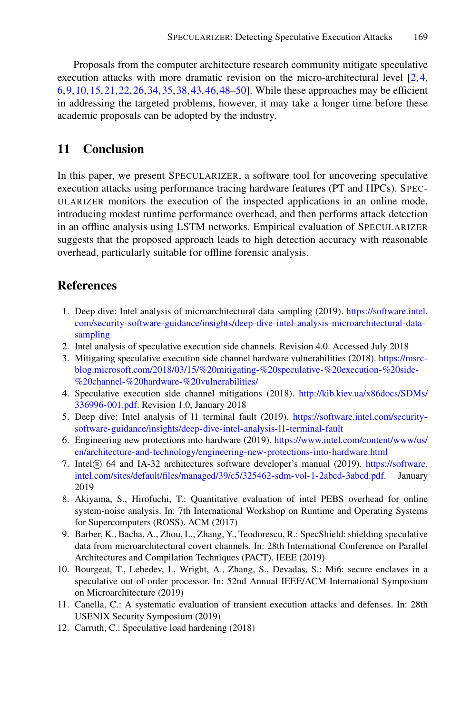Proposals from the computer architecture research community mitigate speculative execution attacks with more dramatic revision on the micro-architectural level [\[2](#page-18-7),[4,](#page-18-8) [6,](#page-18-9)[9](#page-18-10),[10](#page-18-11),[15](#page-19-17)[,21](#page-19-18),[22](#page-19-19)[,26](#page-19-20),[34,](#page-20-12)[35](#page-20-13),[38,](#page-20-14)[43](#page-20-2),[46,](#page-20-15)[48](#page-20-16)[–50\]](#page-20-17). While these approaches may be efficient in addressing the targeted problems, however, it may take a longer time before these academic proposals can be adopted by the industry.

## **11 Conclusion**

In this paper, we present SPECULARIZER, a software tool for uncovering speculative execution attacks using performance tracing hardware features (PT and HPCs). SPEC-ULARIZER monitors the execution of the inspected applications in an online mode, introducing modest runtime performance overhead, and then performs attack detection in an offline analysis using LSTM networks. Empirical evaluation of SPECULARIZER suggests that the proposed approach leads to high detection accuracy with reasonable overhead, particularly suitable for offline forensic analysis.

## **References**

- <span id="page-18-2"></span>1. Deep dive: Intel analysis of microarchitectural data sampling (2019). [https://software.intel.](https://software.intel.com/security-software-guidance/insights/deep-dive-intel-analysis-microarchitectural-data-sampling) [com/security-software-guidance/insights/deep-dive-intel-analysis-microarchitectural-data](https://software.intel.com/security-software-guidance/insights/deep-dive-intel-analysis-microarchitectural-data-sampling)[sampling](https://software.intel.com/security-software-guidance/insights/deep-dive-intel-analysis-microarchitectural-data-sampling)
- <span id="page-18-7"></span>2. Intel analysis of speculative execution side channels. Revision 4.0. Accessed July 2018
- <span id="page-18-0"></span>3. Mitigating speculative execution side channel hardware vulnerabilities (2018). [https://msrc](https://msrc-blog.microsoft.com/2018/03/15/%20mitigating-%20speculative-%20execution-%20side-%20channel-%20hardware-%20vulnerabilities/)[blog.microsoft.com/2018/03/15/%20mitigating-%20speculative-%20execution-%20side-](https://msrc-blog.microsoft.com/2018/03/15/%20mitigating-%20speculative-%20execution-%20side-%20channel-%20hardware-%20vulnerabilities/) [%20channel-%20hardware-%20vulnerabilities/](https://msrc-blog.microsoft.com/2018/03/15/%20mitigating-%20speculative-%20execution-%20side-%20channel-%20hardware-%20vulnerabilities/)
- <span id="page-18-8"></span>4. Speculative execution side channel mitigations (2018). [http://kib.kiev.ua/x86docs/SDMs/](http://kib.kiev.ua/x86docs/SDMs/336996-001.pdf) [336996-001.pdf.](http://kib.kiev.ua/x86docs/SDMs/336996-001.pdf) Revision 1.0, January 2018
- <span id="page-18-5"></span>5. Deep dive: Intel analysis of l1 terminal fault (2019). [https://software.intel.com/security](https://software.intel.com/security-software-guidance/insights/deep-dive-intel-analysis-l1-terminal-fault)[software-guidance/insights/deep-dive-intel-analysis-l1-terminal-fault](https://software.intel.com/security-software-guidance/insights/deep-dive-intel-analysis-l1-terminal-fault)
- <span id="page-18-9"></span>6. Engineering new protections into hardware (2019). [https://www.intel.com/content/www/us/](https://www.intel.com/content/www/us/en/architecture-and-technology/engineering-new-protections-into-hardware.html) [en/architecture-and-technology/engineering-new-protections-into-hardware.html](https://www.intel.com/content/www/us/en/architecture-and-technology/engineering-new-protections-into-hardware.html)
- <span id="page-18-3"></span>7. Intel® 64 and IA-32 architectures software developer's manual (2019). [https://software.](https://software.intel.com/sites/default/files/managed/39/c5/325462-sdm-vol-1-2abcd-3abcd.pdf) [intel.com/sites/default/files/managed/39/c5/325462-sdm-vol-1-2abcd-3abcd.pdf.](https://software.intel.com/sites/default/files/managed/39/c5/325462-sdm-vol-1-2abcd-3abcd.pdf) January 2019
- <span id="page-18-4"></span>8. Akiyama, S., Hirofuchi, T.: Quantitative evaluation of intel PEBS overhead for online system-noise analysis. In: 7th International Workshop on Runtime and Operating Systems for Supercomputers (ROSS). ACM (2017)
- <span id="page-18-10"></span>9. Barber, K., Bacha, A., Zhou, L., Zhang, Y., Teodorescu, R.: SpecShield: shielding speculative data from microarchitectural covert channels. In: 28th International Conference on Parallel Architectures and Compilation Techniques (PACT). IEEE (2019)
- <span id="page-18-11"></span>10. Bourgeat, T., Lebedev, I., Wright, A., Zhang, S., Devadas, S.: Mi6: secure enclaves in a speculative out-of-order processor. In: 52nd Annual IEEE/ACM International Symposium on Microarchitecture (2019)
- <span id="page-18-1"></span>11. Canella, C.: A systematic evaluation of transient execution attacks and defenses. In: 28th USENIX Security Symposium (2019)
- <span id="page-18-6"></span>12. Carruth, C.: Speculative load hardening (2018)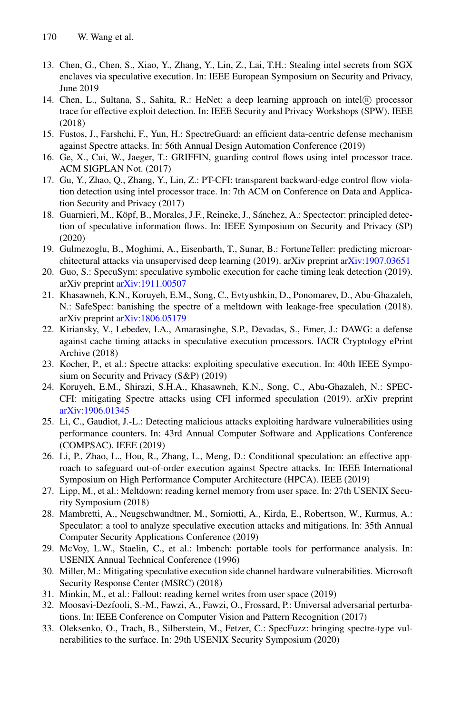- <span id="page-19-12"></span>13. Chen, G., Chen, S., Xiao, Y., Zhang, Y., Lin, Z., Lai, T.H.: Stealing intel secrets from SGX enclaves via speculative execution. In: IEEE European Symposium on Security and Privacy, June 2019
- <span id="page-19-4"></span>14. Chen, L., Sultana, S., Sahita, R.: HeNet: a deep learning approach on intel® processor trace for effective exploit detection. In: IEEE Security and Privacy Workshops (SPW). IEEE (2018)
- <span id="page-19-17"></span>15. Fustos, J., Farshchi, F., Yun, H.: SpectreGuard: an efficient data-centric defense mechanism against Spectre attacks. In: 56th Annual Design Automation Conference (2019)
- <span id="page-19-7"></span>16. Ge, X., Cui, W., Jaeger, T.: GRIFFIN, guarding control flows using intel processor trace. ACM SIGPLAN Not. (2017)
- <span id="page-19-5"></span>17. Gu, Y., Zhao, Q., Zhang, Y., Lin, Z.: PT-CFI: transparent backward-edge control flow violation detection using intel processor trace. In: 7th ACM on Conference on Data and Application Security and Privacy (2017)
- <span id="page-19-13"></span>18. Guarnieri, M., Köpf, B., Morales, J.F., Reineke, J., Sánchez, A.: Spectector: principled detection of speculative information flows. In: IEEE Symposium on Security and Privacy (SP) (2020)
- <span id="page-19-3"></span>19. Gulmezoglu, B., Moghimi, A., Eisenbarth, T., Sunar, B.: FortuneTeller: predicting microarchitectural attacks via unsupervised deep learning (2019). arXiv preprint [arXiv:1907.03651](http://arxiv.org/abs/1907.03651)
- <span id="page-19-14"></span>20. Guo, S.: SpecuSym: speculative symbolic execution for cache timing leak detection (2019). arXiv preprint [arXiv:1911.00507](http://arxiv.org/abs/1911.00507)
- <span id="page-19-18"></span>21. Khasawneh, K.N., Koruyeh, E.M., Song, C., Evtyushkin, D., Ponomarev, D., Abu-Ghazaleh, N.: SafeSpec: banishing the spectre of a meltdown with leakage-free speculation (2018). arXiv preprint [arXiv:1806.05179](http://arxiv.org/abs/1806.05179)
- <span id="page-19-19"></span>22. Kiriansky, V., Lebedev, I.A., Amarasinghe, S.P., Devadas, S., Emer, J.: DAWG: a defense against cache timing attacks in speculative execution processors. IACR Cryptology ePrint Archive (2018)
- <span id="page-19-1"></span>23. Kocher, P., et al.: Spectre attacks: exploiting speculative execution. In: 40th IEEE Symposium on Security and Privacy (S&P) (2019)
- <span id="page-19-11"></span>24. Koruyeh, E.M., Shirazi, S.H.A., Khasawneh, K.N., Song, C., Abu-Ghazaleh, N.: SPEC-CFI: mitigating Spectre attacks using CFI informed speculation (2019). arXiv preprint [arXiv:1906.01345](http://arxiv.org/abs/1906.01345)
- <span id="page-19-9"></span>25. Li, C., Gaudiot, J.-L.: Detecting malicious attacks exploiting hardware vulnerabilities using performance counters. In: 43rd Annual Computer Software and Applications Conference (COMPSAC). IEEE (2019)
- <span id="page-19-20"></span>26. Li, P., Zhao, L., Hou, R., Zhang, L., Meng, D.: Conditional speculation: an effective approach to safeguard out-of-order execution against Spectre attacks. In: IEEE International Symposium on High Performance Computer Architecture (HPCA). IEEE (2019)
- <span id="page-19-0"></span>27. Lipp, M., et al.: Meltdown: reading kernel memory from user space. In: 27th USENIX Security Symposium (2018)
- <span id="page-19-15"></span>28. Mambretti, A., Neugschwandtner, M., Sorniotti, A., Kirda, E., Robertson, W., Kurmus, A.: Speculator: a tool to analyze speculative execution attacks and mitigations. In: 35th Annual Computer Security Applications Conference (2019)
- <span id="page-19-6"></span>29. McVoy, L.W., Staelin, C., et al.: lmbench: portable tools for performance analysis. In: USENIX Annual Technical Conference (1996)
- <span id="page-19-10"></span>30. Miller, M.: Mitigating speculative execution side channel hardware vulnerabilities. Microsoft Security Response Center (MSRC) (2018)
- <span id="page-19-2"></span>31. Minkin, M., et al.: Fallout: reading kernel writes from user space (2019)
- <span id="page-19-8"></span>32. Moosavi-Dezfooli, S.-M., Fawzi, A., Fawzi, O., Frossard, P.: Universal adversarial perturbations. In: IEEE Conference on Computer Vision and Pattern Recognition (2017)
- <span id="page-19-16"></span>33. Oleksenko, O., Trach, B., Silberstein, M., Fetzer, C.: SpecFuzz: bringing spectre-type vulnerabilities to the surface. In: 29th USENIX Security Symposium (2020)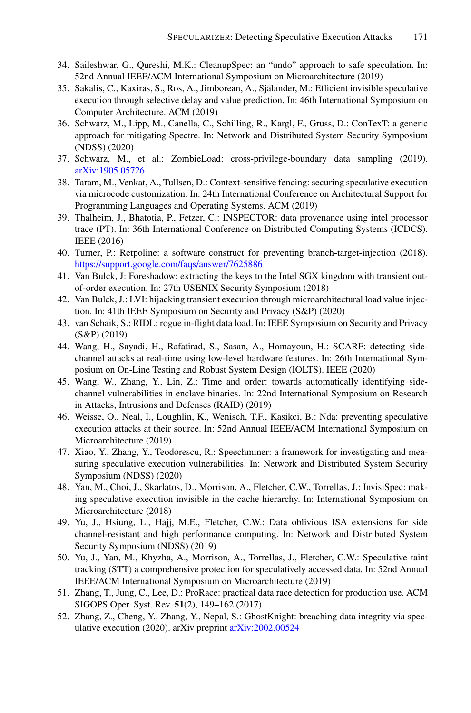- <span id="page-20-12"></span>34. Saileshwar, G., Qureshi, M.K.: CleanupSpec: an "undo" approach to safe speculation. In: 52nd Annual IEEE/ACM International Symposium on Microarchitecture (2019)
- <span id="page-20-13"></span>35. Sakalis, C., Kaxiras, S., Ros, A., Jimborean, A., Själander, M.: Efficient invisible speculative execution through selective delay and value prediction. In: 46th International Symposium on Computer Architecture. ACM (2019)
- <span id="page-20-10"></span>36. Schwarz, M., Lipp, M., Canella, C., Schilling, R., Kargl, F., Gruss, D.: ConTexT: a generic approach for mitigating Spectre. In: Network and Distributed System Security Symposium (NDSS) (2020)
- <span id="page-20-1"></span>37. Schwarz, M., et al.: ZombieLoad: cross-privilege-boundary data sampling (2019). [arXiv:1905.05726](http://arxiv.org/abs/1905.05726)
- <span id="page-20-14"></span>38. Taram, M., Venkat, A., Tullsen, D.: Context-sensitive fencing: securing speculative execution via microcode customization. In: 24th International Conference on Architectural Support for Programming Languages and Operating Systems. ACM (2019)
- <span id="page-20-7"></span>39. Thalheim, J., Bhatotia, P., Fetzer, C.: INSPECTOR: data provenance using intel processor trace (PT). In: 36th International Conference on Distributed Computing Systems (ICDCS). IEEE (2016)
- <span id="page-20-9"></span>40. Turner, P.: Retpoline: a software construct for preventing branch-target-injection (2018). <https://support.google.com/faqs/answer/7625886>
- <span id="page-20-0"></span>41. Van Bulck, J: Foreshadow: extracting the keys to the Intel SGX kingdom with transient outof-order execution. In: 27th USENIX Security Symposium (2018)
- <span id="page-20-3"></span>42. Van Bulck, J.: LVI: hijacking transient execution through microarchitectural load value injection. In: 41th IEEE Symposium on Security and Privacy (S&P) (2020)
- <span id="page-20-2"></span>43. van Schaik, S.: RIDL: rogue in-flight data load. In: IEEE Symposium on Security and Privacy (S&P) (2019)
- <span id="page-20-8"></span>44. Wang, H., Sayadi, H., Rafatirad, S., Sasan, A., Homayoun, H.: SCARF: detecting sidechannel attacks at real-time using low-level hardware features. In: 26th International Symposium on On-Line Testing and Robust System Design (IOLTS). IEEE (2020)
- <span id="page-20-5"></span>45. Wang, W., Zhang, Y., Lin, Z.: Time and order: towards automatically identifying sidechannel vulnerabilities in enclave binaries. In: 22nd International Symposium on Research in Attacks, Intrusions and Defenses (RAID) (2019)
- <span id="page-20-15"></span>46. Weisse, O., Neal, I., Loughlin, K., Wenisch, T.F., Kasikci, B.: Nda: preventing speculative execution attacks at their source. In: 52nd Annual IEEE/ACM International Symposium on Microarchitecture (2019)
- <span id="page-20-11"></span>47. Xiao, Y., Zhang, Y., Teodorescu, R.: Speechminer: a framework for investigating and measuring speculative execution vulnerabilities. In: Network and Distributed System Security Symposium (NDSS) (2020)
- <span id="page-20-16"></span>48. Yan, M., Choi, J., Skarlatos, D., Morrison, A., Fletcher, C.W., Torrellas, J.: InvisiSpec: making speculative execution invisible in the cache hierarchy. In: International Symposium on Microarchitecture (2018)
- 49. Yu, J., Hsiung, L., Hajj, M.E., Fletcher, C.W.: Data oblivious ISA extensions for side channel-resistant and high performance computing. In: Network and Distributed System Security Symposium (NDSS) (2019)
- <span id="page-20-17"></span>50. Yu, J., Yan, M., Khyzha, A., Morrison, A., Torrellas, J., Fletcher, C.W.: Speculative taint tracking (STT) a comprehensive protection for speculatively accessed data. In: 52nd Annual IEEE/ACM International Symposium on Microarchitecture (2019)
- <span id="page-20-4"></span>51. Zhang, T., Jung, C., Lee, D.: ProRace: practical data race detection for production use. ACM SIGOPS Oper. Syst. Rev. **51**(2), 149–162 (2017)
- <span id="page-20-6"></span>52. Zhang, Z., Cheng, Y., Zhang, Y., Nepal, S.: GhostKnight: breaching data integrity via speculative execution (2020). arXiv preprint [arXiv:2002.00524](http://arxiv.org/abs/2002.00524)